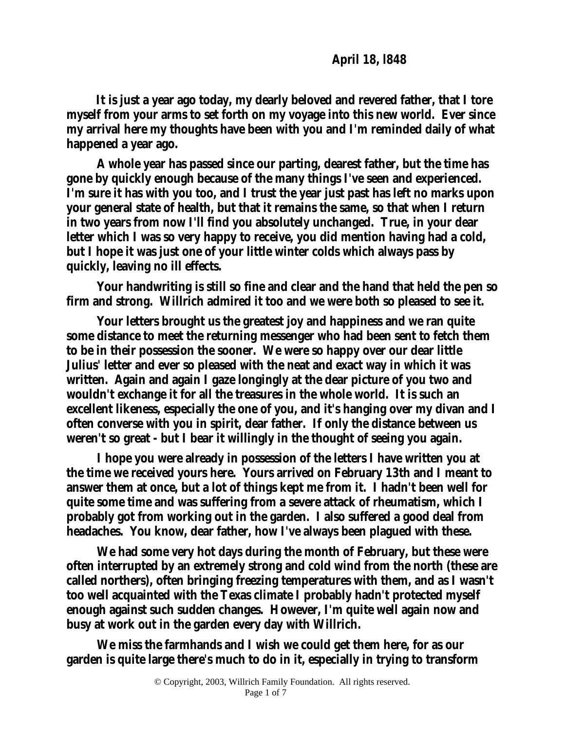**It is just a year ago today, my dearly beloved and revered father, that I tore myself from your arms to set forth on my voyage into this new world. Ever since my arrival here my thoughts have been with you and I'm reminded daily of what happened a year ago.**

**A whole year has passed since our parting, dearest father, but the time has gone by quickly enough because of the many things I've seen and experienced. I'm sure it has with you too, and I trust the year just past has left no marks upon your general state of health, but that it remains the same, so that when I return in two years from now I'll find you absolutely unchanged. True, in your dear letter which I was so very happy to receive, you did mention having had a cold, but I hope it was just one of your little winter colds which always pass by quickly, leaving no ill effects.**

**Your handwriting is still so fine and clear and the hand that held the pen so firm and strong. Willrich admired it too and we were both so pleased to see it.**

**Your letters brought us the greatest joy and happiness and we ran quite some distance to meet the returning messenger who had been sent to fetch them to be in their possession the sooner. We were so happy over our dear little Julius' letter and ever so pleased with the neat and exact way in which it was written. Again and again I gaze longingly at the dear picture of you two and wouldn't exchange it for all the treasures in the whole world. It is such an excellent likeness, especially the one of you, and it's hanging over my divan and I often converse with you in spirit, dear father. If only the distance between us weren't so great - but I bear it willingly in the thought of seeing you again.**

**I hope you were already in possession of the letters I have written you at the time we received yours here. Yours arrived on February 13th and I meant to answer them at once, but a lot of things kept me from it. I hadn't been well for quite some time and was suffering from a severe attack of rheumatism, which I probably got from working out in the garden. I also suffered a good deal from headaches. You know, dear father, how I've always been plagued with these.**

**We had some very hot days during the month of February, but these were often interrupted by an extremely strong and cold wind from the north (these are called northers), often bringing freezing temperatures with them, and as I wasn't too well acquainted with the Texas climate I probably hadn't protected myself enough against such sudden changes. However, I'm quite well again now and busy at work out in the garden every day with Willrich.**

**We miss the farmhands and I wish we could get them here, for as our garden is quite large there's much to do in it, especially in trying to transform**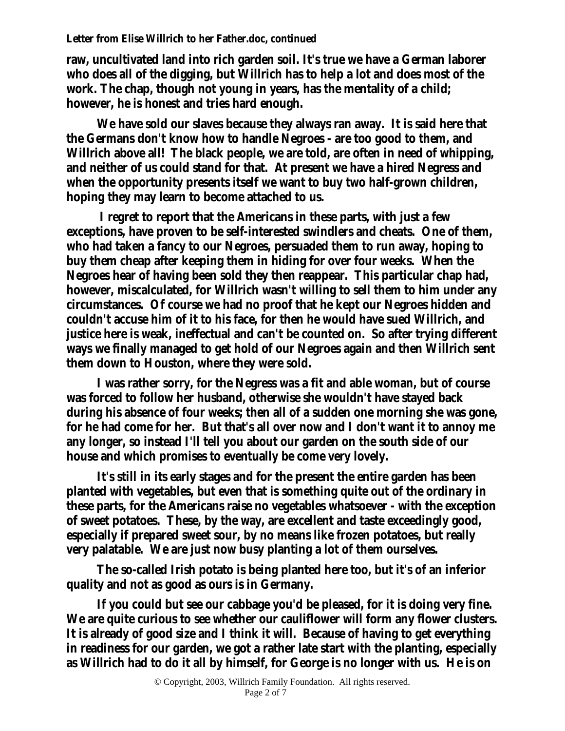**raw, uncultivated land into rich garden soil. It's true we have a German laborer who does all of the digging, but Willrich has to help a lot and does most of the work. The chap, though not young in years, has the mentality of a child; however, he is honest and tries hard enough.**

**We have sold our slaves because they always ran away. It is said here that the Germans don't know how to handle Negroes - are too good to them, and Willrich above all! The black people, we are told, are often in need of whipping, and neither of us could stand for that. At present we have a hired Negress and when the opportunity presents itself we want to buy two half-grown children, hoping they may learn to become attached to us.**

**I regret to report that the Americans in these parts, with just a few exceptions, have proven to be self-interested swindlers and cheats. One of them, who had taken a fancy to our Negroes, persuaded them to run away, hoping to buy them cheap after keeping them in hiding for over four weeks. When the Negroes hear of having been sold they then reappear. This particular chap had, however, miscalculated, for Willrich wasn't willing to sell them to him under any circumstances. Of course we had no proof that he kept our Negroes hidden and couldn't accuse him of it to his face, for then he would have sued Willrich, and justice here is weak, ineffectual and can't be counted on. So after trying different ways we finally managed to get hold of our Negroes again and then Willrich sent them down to Houston, where they were sold.**

**I was rather sorry, for the Negress was a fit and able woman, but of course was forced to follow her husband, otherwise she wouldn't have stayed back during his absence of four weeks; then all of a sudden one morning she was gone, for he had come for her. But that's all over now and I don't want it to annoy me any longer, so instead I'll tell you about our garden on the south side of our house and which promises to eventually be come very lovely.**

**It's still in its early stages and for the present the entire garden has been planted with vegetables, but even that is something quite out of the ordinary in these parts, for the Americans raise no vegetables whatsoever - with the exception of sweet potatoes. These, by the way, are excellent and taste exceedingly good, especially if prepared sweet sour, by no means like frozen potatoes, but really very palatable. We are just now busy planting a lot of them ourselves.**

**The so-called Irish potato is being planted here too, but it's of an inferior quality and not as good as ours is in Germany.**

**If you could but see our cabbage you'd be pleased, for it is doing very fine. We are quite curious to see whether our cauliflower will form any flower clusters. It is already of good size and I think it will. Because of having to get everything in readiness for our garden, we got a rather late start with the planting, especially as Willrich had to do it all by himself, for George is no longer with us. He is on**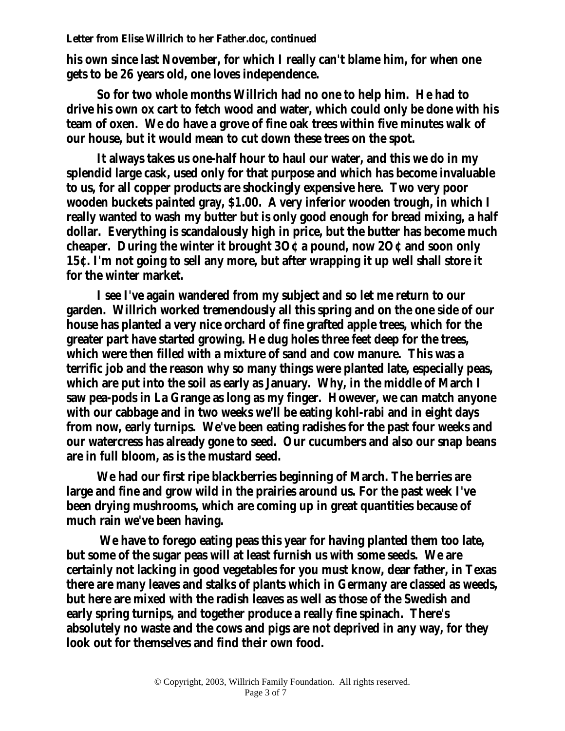**his own since last November, for which I really can't blame him, for when one gets to be 26 years old, one loves independence.**

**So for two whole months Willrich had no one to help him. He had to drive his own ox cart to fetch wood and water, which could only be done with his team of oxen. We do have a grove of fine oak trees within five minutes walk of our house, but it would mean to cut down these trees on the spot.**

**It always takes us one-half hour to haul our water, and this we do in my splendid large cask, used only for that purpose and which has become invaluable to us, for all copper products are shockingly expensive here. Two very poor wooden buckets painted gray, \$1.00. A very inferior wooden trough, in which I really wanted to wash my butter but is only good enough for bread mixing, a half dollar. Everything is scandalously high in price, but the butter has become much cheaper. During the winter it brought 3O¢ a pound, now 2O¢ and soon only 15¢. I'm not going to sell any more, but after wrapping it up well shall store it for the winter market.**

**I see I've again wandered from my subject and so let me return to our garden. Willrich worked tremendously all this spring and on the one side of our house has planted a very nice orchard of fine grafted apple trees, which for the greater part have started growing. He dug holes three feet deep for the trees, which were then filled with a mixture of sand and cow manure. This was a terrific job and the reason why so many things were planted late, especially peas, which are put into the soil as early as January. Why, in the middle of March I saw pea-pods in La Grange as long as my finger. However, we can match anyone with our cabbage and in two weeks we'll be eating kohl-rabi and in eight days from now, early turnips. We've been eating radishes for the past four weeks and our watercress has already gone to seed. Our cucumbers and also our snap beans are in full bloom, as is the mustard seed.**

**We had our first ripe blackberries beginning of March. The berries are large and fine and grow wild in the prairies around us. For the past week I've been drying mushrooms, which are coming up in great quantities because of much rain we've been having.**

**We have to forego eating peas this year for having planted them too late, but some of the sugar peas will at least furnish us with some seeds. We are certainly not lacking in good vegetables for you must know, dear father, in Texas there are many leaves and stalks of plants which in Germany are classed as weeds, but here are mixed with the radish leaves as well as those of the Swedish and early spring turnips, and together produce a really fine spinach. There's absolutely no waste and the cows and pigs are not deprived in any way, for they look out for themselves and find their own food.**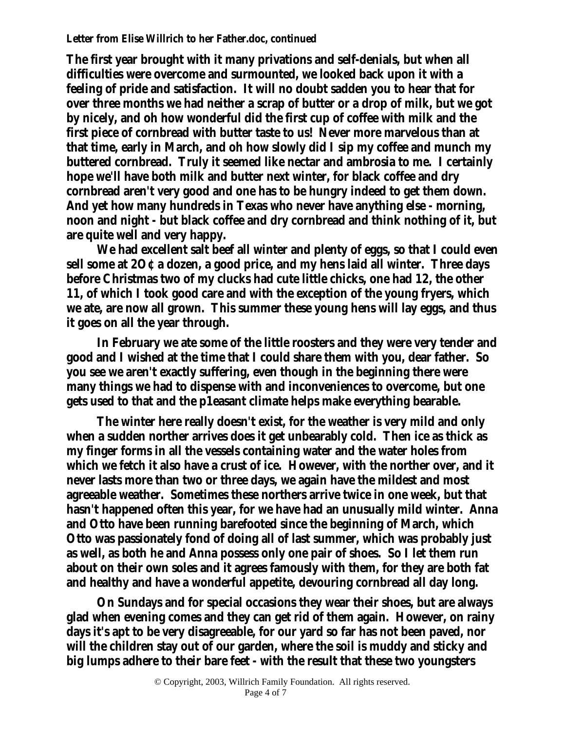**The first year brought with it many privations and self-denials, but when all difficulties were overcome and surmounted, we looked back upon it with a feeling of pride and satisfaction. It will no doubt sadden you to hear that for over three months we had neither a scrap of butter or a drop of milk, but we got by nicely, and oh how wonderful did the first cup of coffee with milk and the first piece of cornbread with butter taste to us! Never more marvelous than at that time, early in March, and oh how slowly did I sip my coffee and munch my buttered cornbread. Truly it seemed like nectar and ambrosia to me. I certainly hope we'll have both milk and butter next winter, for black coffee and dry cornbread aren't very good and one has to be hungry indeed to get them down. And yet how many hundreds in Texas who never have anything else - morning, noon and night - but black coffee and dry cornbread and think nothing of it, but are quite well and very happy.**

**We had excellent salt beef all winter and plenty of eggs, so that I could even sell some at 2O¢ a dozen, a good price, and my hens laid all winter. Three days before Christmas two of my clucks had cute little chicks, one had 12, the other 11, of which I took good care and with the exception of the young fryers, which we ate, are now all grown. This summer these young hens will lay eggs, and thus it goes on all the year through.**

**In February we ate some of the little roosters and they were very tender and good and I wished at the time that I could share them with you, dear father. So you see we aren't exactly suffering, even though in the beginning there were many things we had to dispense with and inconveniences to overcome, but one gets used to that and the p1easant climate helps make everything bearable.**

**The winter here really doesn't exist, for the weather is very mild and only when a sudden norther arrives does it get unbearably cold. Then ice as thick as my finger forms in all the vessels containing water and the water holes from which we fetch it also have a crust of ice. However, with the norther over, and it never lasts more than two or three days, we again have the mildest and most agreeable weather. Sometimes these northers arrive twice in one week, but that hasn't happened often this year, for we have had an unusually mild winter. Anna and Otto have been running barefooted since the beginning of March, which Otto was passionately fond of doing all of last summer, which was probably just as well, as both he and Anna possess only one pair of shoes. So I let them run about on their own soles and it agrees famously with them, for they are both fat and healthy and have a wonderful appetite, devouring cornbread all day long.**

**On Sundays and for special occasions they wear their shoes, but are always glad when evening comes and they can get rid of them again. However, on rainy days it's apt to be very disagreeable, for our yard so far has not been paved, nor will the children stay out of our garden, where the soil is muddy and sticky and big lumps adhere to their bare feet - with the result that these two youngsters**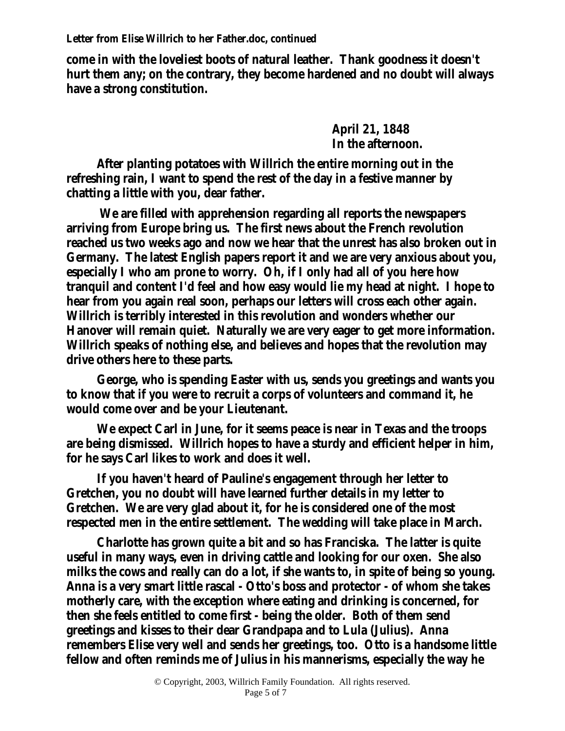**come in with the loveliest boots of natural leather. Thank goodness it doesn't hurt them any; on the contrary, they become hardened and no doubt will always have a strong constitution.**

> **April 21, 1848 In the afternoon.**

**After planting potatoes with Willrich the entire morning out in the refreshing rain, I want to spend the rest of the day in a festive manner by chatting a little with you, dear father.**

**We are filled with apprehension regarding all reports the newspapers arriving from Europe bring us. The first news about the French revolution reached us two weeks ago and now we hear that the unrest has also broken out in Germany. The latest English papers report it and we are very anxious about you, especially I who am prone to worry. Oh, if I only had all of you here how tranquil and content I'd feel and how easy would lie my head at night. I hope to hear from you again real soon, perhaps our letters will cross each other again. Willrich is terribly interested in this revolution and wonders whether our Hanover will remain quiet. Naturally we are very eager to get more information. Willrich speaks of nothing else, and believes and hopes that the revolution may drive others here to these parts.**

**George, who is spending Easter with us, sends you greetings and wants you to know that if you were to recruit a corps of volunteers and command it, he would come over and be your Lieutenant.**

**We expect Carl in June, for it seems peace is near in Texas and the troops are being dismissed. Willrich hopes to have a sturdy and efficient helper in him, for he says Carl likes to work and does it well.**

**If you haven't heard of Pauline's engagement through her letter to Gretchen, you no doubt will have learned further details in my letter to Gretchen. We are very glad about it, for he is considered one of the most respected men in the entire settlement. The wedding will take place in March.**

**Charlotte has grown quite a bit and so has Franciska. The latter is quite useful in many ways, even in driving cattle and looking for our oxen. She also milks the cows and really can do a lot, if she wants to, in spite of being so young. Anna is a very smart little rascal - Otto's boss and protector - of whom she takes motherly care, with the exception where eating and drinking is concerned, for then she feels entitled to come first - being the older. Both of them send greetings and kisses to their dear Grandpapa and to Lula (Julius). Anna remembers Elise very well and sends her greetings, too. Otto is a handsome little fellow and often reminds me of Julius in his mannerisms, especially the way he**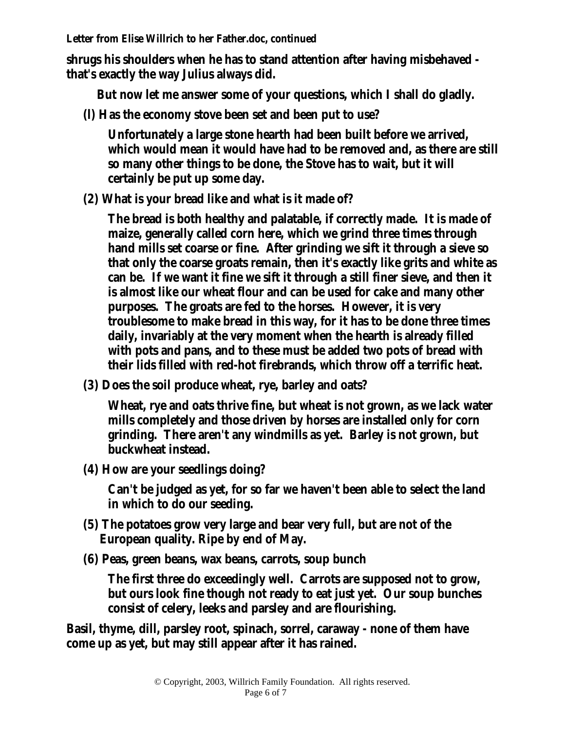**shrugs his shoulders when he has to stand attention after having misbehaved that's exactly the way Julius always did.**

**But now let me answer some of your questions, which I shall do gladly.**

**(l) Has the economy stove been set and been put to use?**

**Unfortunately a large stone hearth had been built before we arrived, which would mean it would have had to be removed and, as there are still so many other things to be done, the Stove has to wait, but it will certainly be put up some day.**

**(2) What is your bread like and what is it made of?**

**The bread is both healthy and palatable, if correctly made. It is made of maize, generally called corn here, which we grind three times through hand mills set coarse or fine. After grinding we sift it through a sieve so that only the coarse groats remain, then it's exactly like grits and white as can be. If we want it fine we sift it through a still finer sieve, and then it is almost like our wheat flour and can be used for cake and many other purposes. The groats are fed to the horses. However, it is very troublesome to make bread in this way, for it has to be done three times daily, invariably at the very moment when the hearth is already filled with pots and pans, and to these must be added two pots of bread with their lids filled with red-hot firebrands, which throw off a terrific heat.**

**(3) Does the soil produce wheat, rye, barley and oats?**

**Wheat, rye and oats thrive fine, but wheat is not grown, as we lack water mills completely and those driven by horses are installed only for corn grinding. There aren't any windmills as yet. Barley is not grown, but buckwheat instead.**

**(4) How are your seedlings doing?**

**Can't be judged as yet, for so far we haven't been able to select the land in which to do our seeding.**

- **(5) The potatoes grow very large and bear very full, but are not of the European quality. Ripe by end of May.**
- **(6) Peas, green beans, wax beans, carrots, soup bunch**

**The first three do exceedingly well. Carrots are supposed not to grow, but ours look fine though not ready to eat just yet. Our soup bunches consist of celery, leeks and parsley and are flourishing.**

**Basil, thyme, dill, parsley root, spinach, sorrel, caraway - none of them have come up as yet, but may still appear after it has rained.**